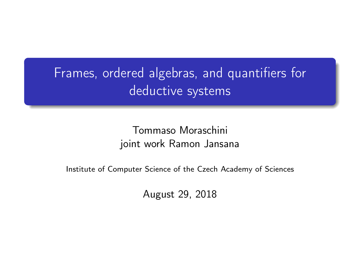## Frames, ordered algebras, and quantifiers for deductive systems

Tommaso Moraschini joint work Ramon Jansana

Institute of Computer Science of the Czech Academy of Sciences

August 29, 2018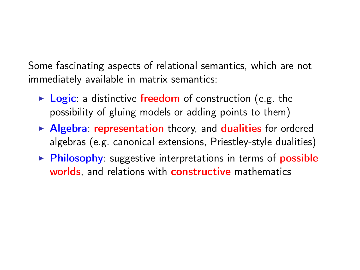Some fascinating aspects of relational semantics, which are not immediately available in matrix semantics:

- $\triangleright$  Logic: a distinctive freedom of construction (e.g. the possibility of gluing models or adding points to them)
- $\blacktriangleright$  Algebra: representation theory, and dualities for ordered algebras (e.g. canonical extensions, Priestley-style dualities)
- $\triangleright$  Philosophy: suggestive interpretations in terms of possible worlds, and relations with constructive mathematics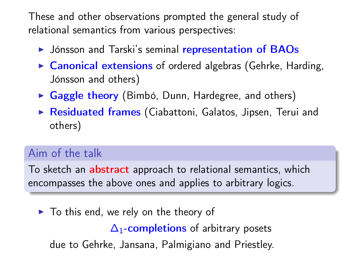These and other observations prompted the general study of relational semantics from various perspectives:

- If Jónsson and Tarski's seminal representation of BAOs
- $\triangleright$  Canonical extensions of ordered algebras (Gehrke, Harding, Jónsson and others)
- $\triangleright$  Gaggle theory (Bimbó, Dunn, Hardegree, and others)
- $\triangleright$  Residuated frames (Ciabattoni, Galatos, Jipsen, Terui and others)

#### Aim of the talk

To sketch an abstract approach to relational semantics, which encompasses the above ones and applies to arbitrary logics.

 $\blacktriangleright$  To this end, we rely on the theory of

 $\Delta_1$ -completions of arbitrary posets

due to Gehrke, Jansana, Palmigiano and Priestley.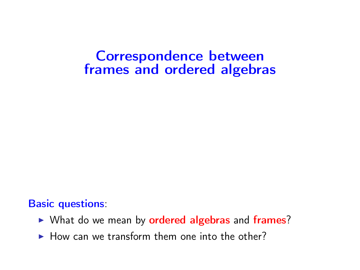## Correspondence between frames and ordered algebras

#### Basic questions:

- ▶ What do we mean by ordered algebras and frames?
- $\blacktriangleright$  How can we transform them one into the other?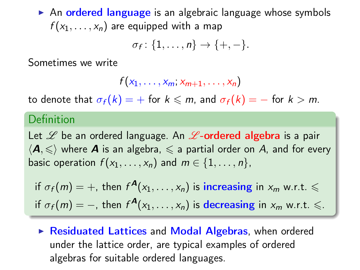$\triangleright$  An ordered language is an algebraic language whose symbols  $f(x_1, \ldots, x_n)$  are equipped with a map

$$
\sigma_f\colon \{1,\ldots,n\}\to \{+,-\}.
$$

Sometimes we write

$$
f(x_1,\ldots,x_m,x_{m+1},\ldots,x_n)
$$

to denote that  $\sigma_f(k) = +$  for  $k \le m$ , and  $\sigma_f(k) = -$  for  $k > m$ .

#### Definition

Let  $\mathscr L$  be an ordered language. An  $\mathscr L$ -ordered algebra is a pair  $\langle A, \leqslant \rangle$  where **A** is an algebra,  $\leqslant$  a partial order on A, and for every basic operation  $f(x_1, \ldots, x_n)$  and  $m \in \{1, \ldots, n\}$ ,

if  $\sigma_f(m)=+$ , then  $f^{\boldsymbol{A}}(x_1,\ldots,x_n)$  is increasing in  $x_m$  w.r.t.  $\leqslant$ if  $\sigma_f(m)=-$ , then  $f^{\bm{A}}(x_1,\ldots,x_n)$  is  $\bm{\mathrm{decreasing}}$  in  $x_m$  w.r.t.  $\leqslant$ .

 $\triangleright$  Residuated Lattices and Modal Algebras, when ordered under the lattice order, are typical examples of ordered algebras for suitable ordered languages.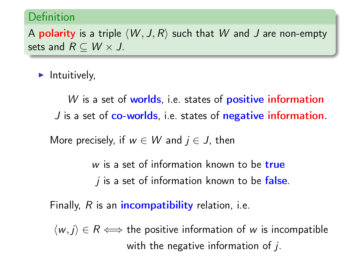#### Definition

A **polarity** is a triple  $\langle W, J, R \rangle$  such that W and J are non-empty sets and  $R \subseteq W \times J$ .

 $\blacktriangleright$  Intuitively,

 $W$  is a set of worlds, i.e. states of positive information J is a set of co-worlds, i.e. states of negative information.

More precisely, if  $w \in W$  and  $j \in J$ , then

 $w$  is a set of information known to be true  $j$  is a set of information known to be false.

Finally,  $R$  is an *incompatibility* relation, i.e.

 $\langle w, j \rangle \in R \Longleftrightarrow$  the positive information of w is incompatible with the negative information of  $i$ .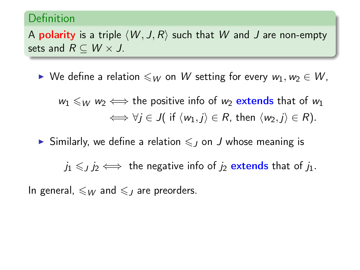#### Definition

A **polarity** is a triple  $\langle W, J, R \rangle$  such that W and J are non-empty sets and  $R \subseteq W \times J$ .

 $\triangleright$  We define a relation  $\leqslant_W$  on W setting for every  $w_1,w_2 \in W$ ,

 $w_1 \leq w_2 \iff$  the positive info of  $w_2$  extends that of  $w_1$  $\iff \forall i \in J$  if  $\langle w_1, i \rangle \in R$ , then  $\langle w_2, i \rangle \in R$ ).

Similarly, we define a relation  $\leq$  on J whose meaning is

 $j_1 \leqslant j_2 \iff$  the negative info of  $j_2$  extends that of  $j_1$ .

In general,  $\leqslant_W$  and  $\leqslant_L$  are preorders.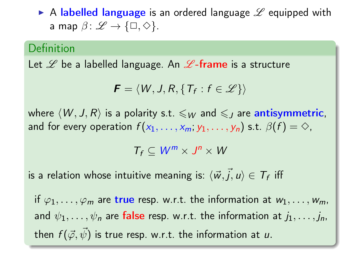A labelled language is an ordered language  $\mathscr L$  equipped with a map  $\beta: \mathscr{L} \to \{\Box, \Diamond\}.$ 

#### Definition

Let  $\mathscr L$  be a labelled language. An  $\mathscr L$ -frame is a structure

$$
\boldsymbol{F} = \langle W, J, R, \{T_f : f \in \mathscr{L}\} \rangle
$$

where  $\langle W, J, R \rangle$  is a polarity s.t.  $\leqslant_W$  and  $\leqslant_J$  are antisymmetric, and for every operation  $f(x_1, \ldots, x_m; y_1, \ldots, y_n)$  s.t.  $\beta(f) = \diamondsuit$ ,

$$
T_f\subseteq W^m\times J^n\times W
$$

is a relation whose intuitive meaning is:  $\langle{\vec w},{\vec j},u\rangle \in {\mathcal T}_f$  iff

if  $\varphi_1, \ldots, \varphi_m$  are true resp. w.r.t. the information at  $w_1, \ldots, w_m$ , and  $\psi_1, \ldots, \psi_n$  are false resp. w.r.t. the information at  $j_1, \ldots, j_n$ , then  $f(\vec{\varphi}, \vec{\psi})$  is true resp. w.r.t. the information at u.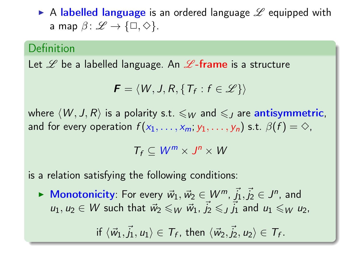A labelled language is an ordered language  $\mathscr L$  equipped with a map  $\beta: \mathscr{L} \to \{\Box, \Diamond\}.$ 

#### Definition

Let  $\mathscr L$  be a labelled language. An  $\mathscr L$ -frame is a structure

$$
\boldsymbol{F} = \langle W, J, R, \{T_f : f \in \mathscr{L}\} \rangle
$$

where  $\langle W, J, R \rangle$  is a polarity s.t.  $\leqslant_W$  and  $\leqslant_J$  are antisymmetric, and for every operation  $f(x_1, \ldots, x_m; y_1, \ldots, y_n)$  s.t.  $\beta(f) = \diamondsuit$ ,

$$
T_f\subseteq W^m\times J^n\times W
$$

is a relation satisfying the following conditions:

▶ Monotonicity: For every  $\vec{w}_1, \vec{w}_2 \in W^m$ ,  $\vec{j}_1, \vec{j}_2 \in J^n$ , and  $u_1, u_2 \in W$  such that  $\vec{w}_2 \leqslant_W \vec{w}_1, \vec{j}_2 \leqslant_J \vec{j}_1$  and  $u_1 \leqslant_W u_2$ ,

if  $\langle \vec{w}_1, \vec{j}_1, u_1 \rangle \in \mathcal{T}_f$ , then  $\langle \vec{w}_2, \vec{j}_2, u_2 \rangle \in \mathcal{T}_f$ .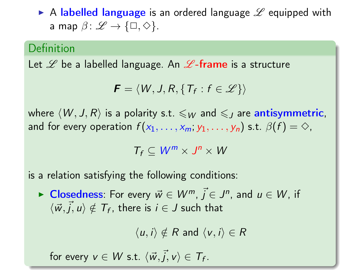A labelled language is an ordered language  $\mathscr L$  equipped with a map  $\beta: \mathscr{L} \to \{\Box, \Diamond\}.$ 

#### Definition

Let  $\mathscr L$  be a labelled language. An  $\mathscr L$ -frame is a structure

$$
\boldsymbol{F} = \langle W, J, R, \{T_f : f \in \mathscr{L}\} \rangle
$$

where  $\langle W, J, R \rangle$  is a polarity s.t.  $\leqslant_W$  and  $\leqslant_J$  are antisymmetric, and for every operation  $f(x_1, \ldots, x_m; y_1, \ldots, y_n)$  s.t.  $\beta(f) = \diamondsuit$ ,

$$
T_f\subseteq W^m\times J^n\times W
$$

is a relation satisfying the following conditions:

► Closedness: For every  $\vec{w} \in W^m$ ,  $\vec{j} \in J^n$ , and  $u \in W$ , if  $\langle \vec{w}, \vec{j}, u \rangle \notin \mathcal{T}_f$ , there is  $i \in J$  such that

 $\langle u, i \rangle \notin R$  and  $\langle v, i \rangle \in R$ 

for every  $v \in W$  s.t.  $\langle \vec{w}, \vec{j}, v \rangle \in \mathcal{T}_f$ .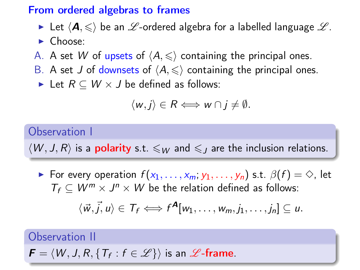#### From ordered algebras to frames

- In Let  $\langle A, \leqslant \rangle$  be an  $\mathscr{L}$ -ordered algebra for a labelled language  $\mathscr{L}$ .
- $\blacktriangleright$  Choose:
- A. A set W of upsets of  $\langle A, \leq \rangle$  containing the principal ones.
- B. A set J of downsets of  $\langle A, \leq \rangle$  containing the principal ones.
	- Eet  $R \subseteq W \times J$  be defined as follows:

$$
\langle w,j\rangle\in R\Longleftrightarrow w\cap j\neq\emptyset.
$$

#### Observation I

 $\langle W, J, R \rangle$  is a **polarity** s.t.  $\leqslant_W$  and  $\leqslant_J$  are the inclusion relations.

For every operation  $f(x_1, \ldots, x_m; y_1, \ldots, y_n)$  s.t.  $\beta(f) = \diamondsuit$ , let  $T_f \subseteq W^m \times J^n \times W$  be the relation defined as follows:

$$
\langle \vec{w}, \vec{j}, u \rangle \in T_f \Longleftrightarrow f^{\mathbf{A}}[w_1, \ldots, w_m, j_1, \ldots, j_n] \subseteq u.
$$

Observation II

$$
\textit{\textbf{F}} = \langle W, J, R, \{T_f: f \in \mathscr{L}\} \rangle \text{ is an $\mathscr{L}$-frame.}
$$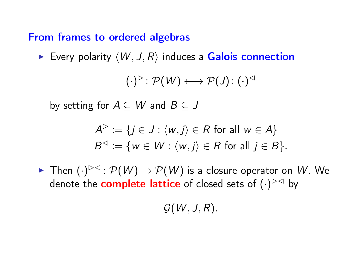#### From frames to ordered algebras

Every polarity  $\langle W, J, R \rangle$  induces a Galois connection

$$
(\cdot)^\rhd\colon \mathcal{P}(W)\longleftrightarrow \mathcal{P}(J)\colon (\cdot)^\lhd
$$

by setting for  $A \subseteq W$  and  $B \subseteq J$ 

$$
A^{\triangleright} := \{ j \in J : \langle w, j \rangle \in R \text{ for all } w \in A \}
$$
  

$$
B^{\triangleleft} := \{ w \in W : \langle w, j \rangle \in R \text{ for all } j \in B \}.
$$

► Then  $(\cdot)^{\triangleright\lhd}$ :  $\mathcal{P}(W) \to \mathcal{P}(W)$  is a closure operator on  $W$ . We denote the complete lattice of closed sets of  $(\cdot)^{>\vartriangleleft}$  by

 $G(W, J, R)$ .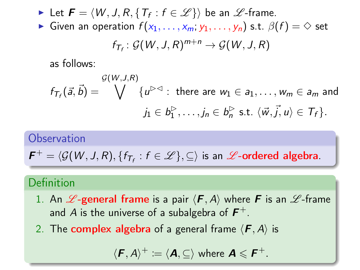► Let  $\boldsymbol{F} = \langle W, J, R, \{T_f : f \in \mathscr{L}\}\rangle$  be an  $\mathscr{L}$ -frame.

**►** Given an operation  $f(x_1, \ldots, x_m; y_1, \ldots, y_n)$  s.t.  $\beta(f) = \diamond$  set

$$
f_{\mathcal{T}_f} \colon \mathcal{G}(W, J, R)^{m+n} \to \mathcal{G}(W, J, R)
$$

as follows:

$$
f_{\mathcal{T}_f}(\vec{a}, \vec{b}) = \bigvee_{j_1 \in \mathcal{B}_1^{\triangleright}} \{u^{\triangleright\triangleleft} : \text{ there are } w_1 \in a_1, \dots, w_m \in a_m \text{ and } 0 \leq j_1 \in b_1^{\triangleright}, \dots, j_n \in b_n^{\triangleright} \text{ s.t. } \langle \vec{w}, \vec{j}, u \rangle \in \mathcal{T}_f\}.
$$

#### **Observation**

$$
\textbf{\textit{F}}^+ = \langle \mathcal{G}(W, J, R), \{ f_{T_f} : f \in \mathscr{L} \}, \subseteq \rangle \text{ is an $\mathscr{L}$-ordered algebra}.
$$

#### Definition

- 1. An  $\mathscr{L}$ -general frame is a pair  $\langle F, A \rangle$  where F is an  $\mathscr{L}$ -frame and A is the universe of a subalgebra of  $\bm{F}^+.$
- 2. The **complex algebra** of a general frame  $\langle \mathbf{F}, A \rangle$  is

$$
\langle \boldsymbol{F}, \boldsymbol{A} \rangle^+ \coloneqq \langle \boldsymbol{A}, \subseteq \rangle \text{ where } \boldsymbol{A} \leqslant \boldsymbol{F}^+.
$$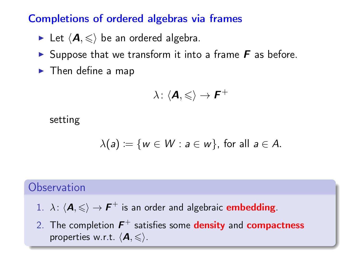#### Completions of ordered algebras via frames

- Let  $\langle A, \leqslant \rangle$  be an ordered algebra.
- Suppose that we transform it into a frame  $\bm{F}$  as before.
- $\blacktriangleright$  Then define a map

$$
\lambda\colon \langle \boldsymbol{A},\leqslant\rangle\to\boldsymbol{F}^+
$$

setting

$$
\lambda(a) \coloneqq \{ w \in W : a \in w \}, \text{ for all } a \in A.
$$

#### **Observation**

- 1.  $\lambda$ :  $\langle A, \leqslant \rangle \rightarrow F^+$  is an order and algebraic embedding.
- 2. The completion  $\boldsymbol{F}^+$  satisfies some density and compactness properties w.r.t.  $\langle \mathbf{A}, \leqslant \rangle$ .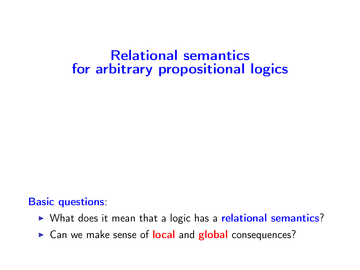## Relational semantics for arbitrary propositional logics

#### Basic questions:

- $\triangleright$  What does it mean that a logic has a relational semantics?
- ► Can we make sense of local and global consequences?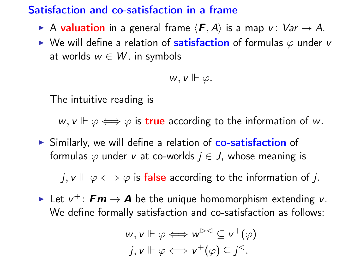#### Satisfaction and co-satisfaction in a frame

- A valuation in a general frame  $\langle F, A \rangle$  is a map v:  $Var \rightarrow A$ .
- $\triangleright$  We will define a relation of satisfaction of formulas  $\varphi$  under v at worlds  $w \in W$ , in symbols

$$
w, v \Vdash \varphi.
$$

The intuitive reading is

 $w, v \Vdash \varphi \Longleftrightarrow \varphi$  is true according to the information of w.

In Similarly, we will define a relation of co-satisfaction of formulas  $\varphi$  under v at co-worlds  $j \in J$ , whose meaning is

j,  $v \Vdash \varphi \Longleftrightarrow \varphi$  is false according to the information of j.

► Let  $v^+$ :  $\boldsymbol{Fm} \to \boldsymbol{A}$  be the unique homomorphism extending v. We define formally satisfaction and co-satisfaction as follows:

$$
w, v \Vdash \varphi \Longleftrightarrow w^{\triangleright\triangleleft} \subseteq v^+(\varphi)
$$
  

$$
j, v \Vdash \varphi \Longleftrightarrow v^+(\varphi) \subseteq j^{\triangleleft}.
$$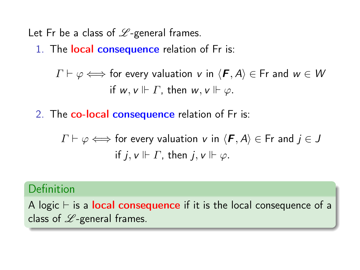Let Fr be a class of  $\mathscr{L}$ -general frames.

1. The **local consequence** relation of Fr is:

 $\Gamma \vdash \varphi \Longleftrightarrow$  for every valuation v in  $\langle \mathbf{F}, A \rangle \in$  Fr and  $w \in W$ if  $w, v \Vdash \Gamma$ , then  $w, v \Vdash \varphi$ .

2. The co-local consequence relation of Fr is:

 $\Gamma \vdash \varphi \Longleftrightarrow$  for every valuation v in  $\langle \mathbf{F}, A \rangle \in \mathsf{Fr}$  and  $j \in J$ if  $j, v \Vdash \Gamma$ , then  $j, v \Vdash \varphi$ .

#### Definition

A logic  $\vdash$  is a local consequence if it is the local consequence of a class of  $\mathscr{L}$ -general frames.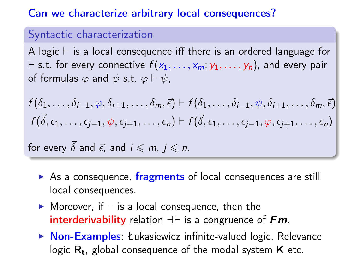#### Can we characterize arbitrary local consequences?

#### Syntactic characterization

A logic  $\vdash$  is a local consequence iff there is an ordered language for  $\vdash$  s.t. for every connective  $f(x_1, \ldots, x_m; y_1, \ldots, y_n)$ , and every pair of formulas  $\varphi$  and  $\psi$  s.t.  $\varphi \vdash \psi$ ,

$$
f(\delta_1,\ldots,\delta_{i-1},\varphi,\delta_{i+1},\ldots,\delta_m,\vec{\epsilon}) \vdash f(\delta_1,\ldots,\delta_{i-1},\psi,\delta_{i+1},\ldots,\delta_m,\vec{\epsilon})
$$
  

$$
f(\vec{\delta},\epsilon_1,\ldots,\epsilon_{j-1},\psi,\epsilon_{j+1},\ldots,\epsilon_n) \vdash f(\vec{\delta},\epsilon_1,\ldots,\epsilon_{j-1},\varphi,\epsilon_{j+1},\ldots,\epsilon_n)
$$

for every  $\vec{\delta}$  and  $\vec{\epsilon}$ , and  $i \leq m$ ,  $i \leq n$ .

- $\triangleright$  As a consequence, fragments of local consequences are still local consequences.
- $\blacktriangleright$  Moreover, if  $\vdash$  is a local consequence, then the interderivability relation  $+\vdash$  is a congruence of Fm.
- $\triangleright$  Non-Examples: Łukasiewicz infinite-valued logic, Relevance logic  $R_t$ , global consequence of the modal system  $K$  etc.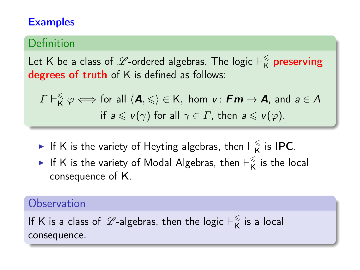#### **Examples**

#### Definition

Let K be a class of  $\mathscr L$ -ordered algebras. The logic  $\vdash^\leqslant_{\mathsf K}$  $\frac{\epsilon}{\mathsf{K}}$  preserving degrees of truth of K is defined as follows:

$$
\Gamma \vdash_{\mathsf{K}}^{\leq} \varphi \Longleftrightarrow \text{ for all } \langle \mathbf{A}, \leqslant \rangle \in \mathsf{K}, \text{ hom } \mathsf{v}: \mathbf{Fm} \to \mathbf{A}, \text{ and } a \in \mathsf{A}
$$
\n
$$
\text{if } a \leqslant \mathsf{v}(\gamma) \text{ for all } \gamma \in \Gamma, \text{ then } a \leqslant \mathsf{v}(\varphi).
$$

- If K is the variety of Heyting algebras, then  $\vdash_{\mathsf{K}}^{\leqslant}$  $\frac{1}{K}$  is IPC.
- If K is the variety of Modal Algebras, then  $\vdash_{\mathsf{K}}^{\leqslant}$  $\frac{1}{K}$  is the local consequence of K.

#### **Observation**

If K is a class of  $\mathscr L$ -algebras, then the logic  $\vdash^\leqslant_{\mathsf K}$  $\frac{1}{K}$  is a local consequence.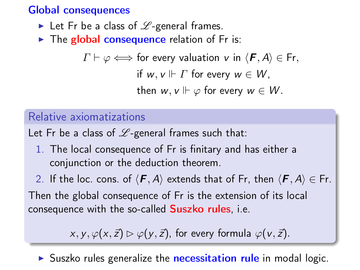#### Global consequences

- In Let Fr be a class of  $L$ -general frames.
- $\triangleright$  The global consequence relation of Fr is:

 $\Gamma \vdash \varphi \Longleftrightarrow$  for every valuation v in  $\langle \mathbf{F}, A \rangle \in \mathsf{Fr}$ ,

if  $w, v \Vdash \Gamma$  for every  $w \in W$ .

then  $w, v \Vdash \varphi$  for every  $w \in W$ .

#### Relative axiomatizations

Let Fr be a class of  $L$ -general frames such that:

1. The local consequence of Fr is finitary and has either a conjunction or the deduction theorem.

2. If the loc. cons. of  $\langle \mathbf{F}, A \rangle$  extends that of Fr, then  $\langle \mathbf{F}, A \rangle \in$  Fr. Then the global consequence of Fr is the extension of its local consequence with the so-called **Suszko rules**, i.e.

 $x, y, \varphi(x, \vec{z}) \triangleright \varphi(y, \vec{z})$ , for every formula  $\varphi(y, \vec{z})$ .

 $\triangleright$  Suszko rules generalize the **necessitation rule** in modal logic.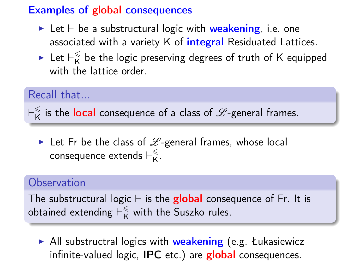#### Examples of global consequences

- I Let  $\vdash$  be a substructural logic with weakening, i.e. one associated with a variety K of *integral* Residuated Lattices.
- $\blacktriangleright$  Let  $\vdash_{\mathsf{K}}^{\leqslant}$  $\frac{\epsilon}{\mathsf{K}}$  be the logic preserving degrees of truth of K equipped with the lattice order.

#### Recall that...

 $\vdash_{\mathsf{K}}^{\leqslant}$  $\frac{\mathbb{R}}{\mathsf{K}}$  is the local consequence of a class of  $\mathscr{L}$ -general frames.

In Let Fr be the class of  $\mathscr{L}$ -general frames, whose local consequence extends  $\vdash_{\mathsf{K}}^{\leqslant}$ K .

#### **Observation**

The substructural logic  $\vdash$  is the global consequence of Fr. It is obtained extending  $\vdash_{\mathsf{K}}^{\leq}$  with the Suszko rules.

 $\blacktriangleright$  All substructral logics with weakening (e.g. Łukasiewicz infinite-valued logic, IPC etc.) are global consequences.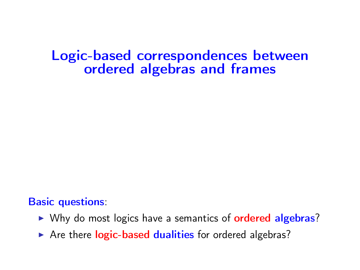## Logic-based correspondences between ordered algebras and frames

#### Basic questions:

- ▶ Why do most logics have a semantics of **ordered algebras**?
- $\triangleright$  Are there logic-based dualities for ordered algebras?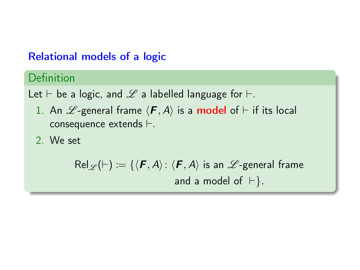#### Relational models of a logic

### Definition

Let  $\vdash$  be a logic, and  $\mathscr L$  a labelled language for  $\vdash$ .

- 1. An  $\mathscr{L}$ -general frame  $\langle \mathbf{F}, A \rangle$  is a **model** of  $\vdash$  if its local consequence extends  $\vdash$ .
- 2. We set

$$
\mathsf{Rel}_{\mathscr{L}}(\vdash) \coloneqq \{ \langle \mathbf{F}, A \rangle : \langle \mathbf{F}, A \rangle \text{ is an } \mathscr{L}\text{-general frame} \text{ and a model of } \vdash \}.
$$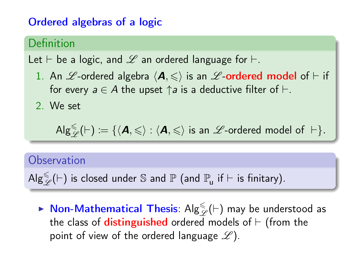#### Ordered algebras of a logic

#### Definition

Let  $\vdash$  be a logic, and  $\mathscr L$  an ordered language for  $\vdash$ .

- 1. An  $\mathscr L$ -ordered algebra  $\langle \mathbf A, \leqslant \rangle$  is an  $\mathscr L$ -ordered model of  $\vdash$  if for every  $a \in A$  the upset  $\uparrow a$  is a deductive filter of  $\vdash$ .
- 2. We set

$$
\mathsf{Alg}^\le_\mathscr{L}(\vdash) := \{\langle \textbf{\textit{A}}, \leqslant \rangle : \langle \textbf{\textit{A}}, \leqslant \rangle \text{ is an }\mathscr{L}\text{-ordered model of }\vdash\}.
$$

#### **Observation**

 $\mathsf{Alg}^\le_\mathscr{L}(\vdash)$  is closed under  $\mathbb S$  and  $\mathbb P$  (and  $\mathbb P_u$  if  $\vdash$  is finitary).

 $\blacktriangleright$  Non-Mathematical Thesis:  $\mathsf{Alg}_{\mathscr{L}}^{\leqslant}(\vdash)$  may be understood as the class of **distinguished** ordered models of  $\vdash$  (from the point of view of the ordered language  $\mathscr{L}$ ).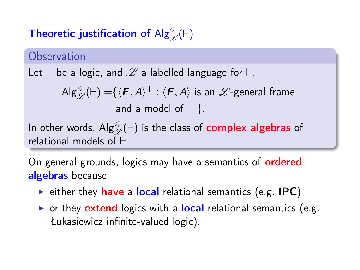# Theoretic justification of  $\mathsf{Alg}^\leq_{\mathscr{L}}(\vdash)$

#### **Observation**

Let  $\vdash$  be a logic, and  $\mathscr L$  a labelled language for  $\vdash$ .

$$
Alg_{\mathscr{L}}^{\leq}(H) = \{ \langle \mathbf{F}, A \rangle^+ : \langle \mathbf{F}, A \rangle \text{ is an } \mathscr{L}\text{-general frame}
$$
  
and a model of  $H$ .

In other words,  $\mathsf{Alg}^\leq_\mathscr{L}(\vdash)$  is the class of  $\mathsf{complex}\ \mathsf{algebras}\ \mathsf{of}$ relational models of  $\vdash$ 

On general grounds, logics may have a semantics of **ordered** algebras because:

- $\triangleright$  either they have a local relational semantics (e.g. IPC)
- $\triangleright$  or they extend logics with a local relational semantics (e.g. Łukasiewicz infinite-valued logic).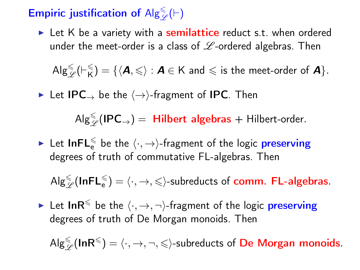# Empiric justification of  $\mathsf{Alg}^{\leqslant}_\mathscr{L}(\vdash)$

 $\blacktriangleright$  Let K be a variety with a **semilattice** reduct s.t. when ordered under the meet-order is a class of  $\mathscr L$ -ordered algebras. Then

 $\mathsf{Alg}^\leqslant_{\mathscr{L}}\!(\vDash^{\leqslant}_{\mathsf{K}}$  $K(\mathbf{X}) = \{ \langle \mathbf{A}, \leqslant \rangle : \mathbf{A} \in \mathsf{K} \text{ and } \leqslant \text{ is the meet-order of } \mathbf{A} \}.$ 

► Let IPC  $\rightarrow$  be the  $\langle \rightarrow \rangle$ -fragment of IPC. Then

 $\mathsf{Alg}^{\leq}_{\mathscr{L}}(\mathsf{IPC}_\rightarrow) = \mathsf{Hilbert}\text{ algebras} + \mathsf{Hilbert}\text{-order}.$ 

 $\blacktriangleright$  Let  ${\sf InFL}_{\sf e}^{\leqslant}$  be the  $\langle \cdot, \rightarrow \rangle$ -fragment of the logic  ${\sf preserving}$ degrees of truth of commutative FL-algebras. Then

 $\mathsf{Alg}^\le_\mathscr{L}(\mathsf{InFL}_e^\le)=\langle\cdot, \to, \leqslant\rangle$ -subreducts of comm. FL-algebras.

► Let InR<sup> $\leq$ </sup> be the  $\langle \cdot, \to, \neg \rangle$ -fragment of the logic preserving degrees of truth of De Morgan monoids. Then

 $\mathsf{Alg}^\le_\mathscr{L}(\mathsf{InR}^\leq)=\langle\cdot,\to,\neg,\leq\rangle$ -subreducts of  $\mathsf{De\;Morgan\; monoids}.$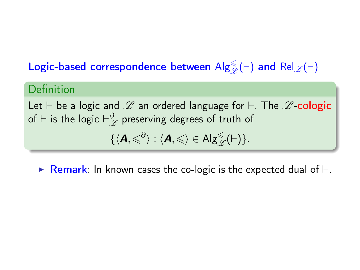# Logic-based correspondence between  $\mathsf{Alg}^\le_\mathscr{L}(\vdash)$  and  $\mathsf{Rel}_\mathscr{L}(\vdash)$

#### Definition

Let  $\vdash$  be a logic and  $\mathscr L$  an ordered language for  $\vdash$ . The  $\mathscr L$ -cologic of  $\vdash$  is the logic  $\vdash_{\mathscr{L}}^{\partial}$  preserving degrees of truth of

$$
\{\langle \boldsymbol{A}, \leqslant^{\partial}\rangle: \langle \boldsymbol{A}, \leqslant\rangle\in \mathsf{Alg}^{\leqslant}_{\mathscr{L}}(\vdash)\}.
$$

**Remark:** In known cases the co-logic is the expected dual of  $\vdash$ .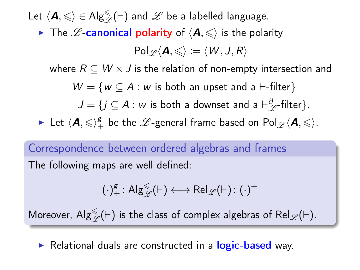Let  $\langle \pmb{A}, \leqslant \rangle \in \mathsf{Alg}^{\leqslant}_\mathscr{L}(\vdash)$  and  $\mathscr{L}$  be a labelled language.

The *L*-canonical polarity of  $\langle A, \leq \rangle$  is the polarity

$$
\mathsf{Pol}_{\mathscr{L}}\langle \bm{A}, \leqslant \rangle \coloneqq \langle \mathit{W}, \mathit{J}, \mathit{R} \rangle
$$

where  $R \subseteq W \times J$  is the relation of non-empty intersection and

$$
W = \{ w \subseteq A : w \text{ is both an upset and a } \vdash\text{-filter} \}
$$

 $J = \{j \subseteq A : w \text{ is both a downset and a } \vdash^{\partial}_{\mathscr{L}} \text{-filter}\}.$ 

 $\blacktriangleright$  Let  $\langle \mathcal{A}, \leqslant \rangle_+^g$  be the  $\mathscr{L}\text{-}$  general frame based on  $\mathsf{Pol}_{\mathscr{L}}\langle \mathcal{A}, \leqslant \rangle$ .

Correspondence between ordered algebras and frames The following maps are well defined:

$$
(\cdot)^\text{g}_+ \colon \mathsf{Alg}_\mathscr{L}^\leq(\vdash) \longleftrightarrow \mathsf{Rel}_\mathscr{L}(\vdash) \colon (\cdot)^+
$$

Moreover,  $\mathsf{Alg}^\le_\mathscr{L}(\vdash)$  is the class of complex algebras of  $\mathsf{Rel}_\mathscr{L}(\vdash).$ 

 $\triangleright$  Relational duals are constructed in a logic-based way.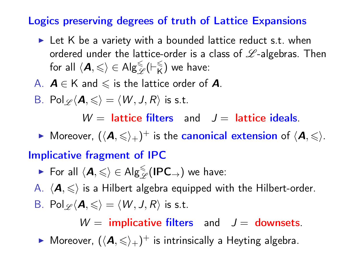#### Logics preserving degrees of truth of Lattice Expansions

- $\blacktriangleright$  Let K be a variety with a bounded lattice reduct s.t. when ordered under the lattice-order is a class of  $L$ -algebras. Then for all  $\langle \mathbf{A}, \leqslant \rangle \in \mathsf{Alg}_{\mathscr{L}}^{\leqslant}(\vdash_{\mathsf{K}}^{\leqslant}$  $\binom{<}{K}$  we have:
- A.  $A \in K$  and  $\leq$  is the lattice order of A.
- B. Pol $\varphi$  $\langle A,\leqslant\rangle = \langle W, J, R \rangle$  is s.t.

 $W =$  lattice filters and  $J =$  lattice ideals.

 $\blacktriangleright$  Moreover,  $(\langle A,\leqslant\rangle_+)^+$  is the canonical extension of  $\langle A,\leqslant\rangle$ .

#### Implicative fragment of IPC

$$
\quad \blacktriangleright \ \text{For all}\ \langle \textbf{\textit{A}}, {\leqslant} \rangle \in \mathsf{Alg}^{\leqslant}_{\mathscr{L}}(\mathsf{IPC}_\rightarrow) \ \text{we have:}
$$

A.  $\langle A, \leq \rangle$  is a Hilbert algebra equipped with the Hilbert-order. B. Pol $\varphi \langle A,\leqslant \rangle = \langle W, J, R \rangle$  is s.t.

 $W =$  implicative filters and  $J =$  downsets.

 $\blacktriangleright$  Moreover,  $(\langle A, \leqslant \rangle_+)^+$  is intrinsically a Heyting algebra.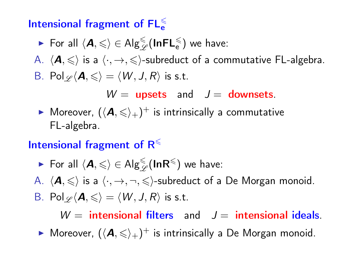## Intensional fragment of  $\mathsf{FL}_e^\leq$

\n- For all 
$$
\langle A, \leqslant \rangle \in \text{Alg}_{\mathcal{L}}^{\leqslant}(\text{InFL}_e^{\leqslant})
$$
 we have:
\n- A.  $\langle A, \leqslant \rangle$  is a  $\langle \cdot, \to, \leqslant \rangle$ -subreduct of a commutative FL-algebra.
\n- B. Pol $\mathcal{L} \langle A, \leqslant \rangle = \langle W, J, R \rangle$  is s.t.
\n- $W = \text{upsets}$  and  $J = \text{downsets}$ .
\n

 $\blacktriangleright$  Moreover,  $(\langle \bm A, \leqslant \rangle_+)^+$  is intrinsically a commutative FL-algebra.

#### Intensional fragment of  $R^{\leqslant}$

$$
\quad \blacktriangleright \ \text{For all}\ \langle \textbf{\textit{A}}, \leqslant \rangle \in \mathsf{Alg}^{\leqslant}_{\mathscr{L}}(\textbf{InR}^{\leqslant}) \text{ we have: }
$$

A.  $\langle \mathbf{A}, \leqslant \rangle$  is a  $\langle \cdot, \to, \neg, \leqslant \rangle$ -subreduct of a De Morgan monoid.

B. 
$$
\text{Pol}_{\mathscr{L}}\langle \mathbf{A}, \leqslant \rangle = \langle W, J, R \rangle
$$
 is s.t.

 $W =$  intensional filters and  $J =$  intensional ideals.

 $\blacktriangleright$  Moreover,  $(\langle \mathbf{A}, \leqslant \rangle_+)^\pm$  is intrinsically a De Morgan monoid.